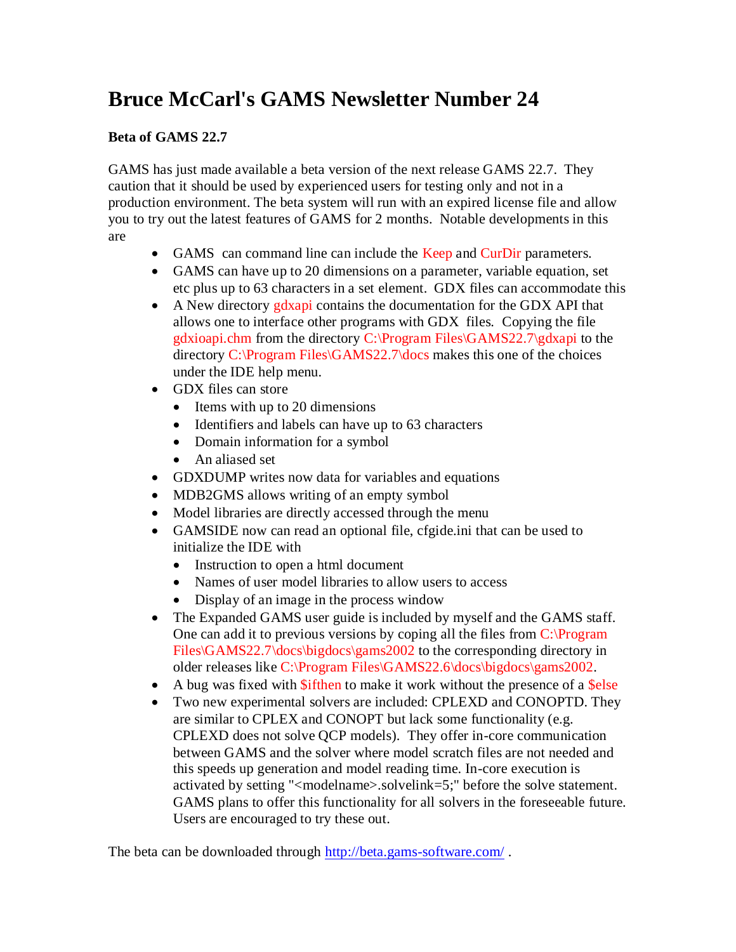# **Bruce McCarl's GAMS Newsletter Number 24**

## **Beta of GAMS 22.7**

GAMS has just made available a beta version of the next release GAMS 22.7. They caution that it should be used by experienced users for testing only and not in a production environment. The beta system will run with an expired license file and allow you to try out the latest features of GAMS for 2 months. Notable developments in this are

- GAMS can command line can include the Keep and CurDir parameters.
- GAMS can have up to 20 dimensions on a parameter, variable equation, set etc plus up to 63 characters in a set element. GDX files can accommodate this
- A New directory gdxapi contains the documentation for the GDX API that allows one to interface other programs with GDX files. Copying the file gdxioapi.chm from the directory C:\Program Files\GAMS22.7\gdxapi to the directory C:\Program Files\GAMS22.7\docs makes this one of the choices under the IDE help menu.
- GDX files can store
	- Items with up to 20 dimensions
	- Identifiers and labels can have up to 63 characters
	- Domain information for a symbol
	- An aliased set
- GDXDUMP writes now data for variables and equations
- MDB2GMS allows writing of an empty symbol
- Model libraries are directly accessed through the menu
- GAMSIDE now can read an optional file, cfgide.ini that can be used to initialize the IDE with
	- Instruction to open a html document
	- Names of user model libraries to allow users to access
	- Display of an image in the process window
- The Expanded GAMS user guide is included by myself and the GAMS staff. One can add it to previous versions by coping all the files from C:\Program Files\GAMS22.7\docs\bigdocs\gams2002 to the corresponding directory in older releases like C:\Program Files\GAMS22.6\docs\bigdocs\gams2002.
- $\bullet$  A bug was fixed with \$ifthen to make it work without the presence of a \$else
- Two new experimental solvers are included: CPLEXD and CONOPTD. They are similar to CPLEX and CONOPT but lack some functionality (e.g. CPLEXD does not solve QCP models). They offer in-core communication between GAMS and the solver where model scratch files are not needed and this speeds up generation and model reading time. In-core execution is activated by setting "<modelname>.solvelink=5;" before the solve statement. GAMS plans to offer this functionality for all solvers in the foreseeable future. Users are encouraged to try these out.

The beta can be downloaded through<http://beta.gams-software.com/> .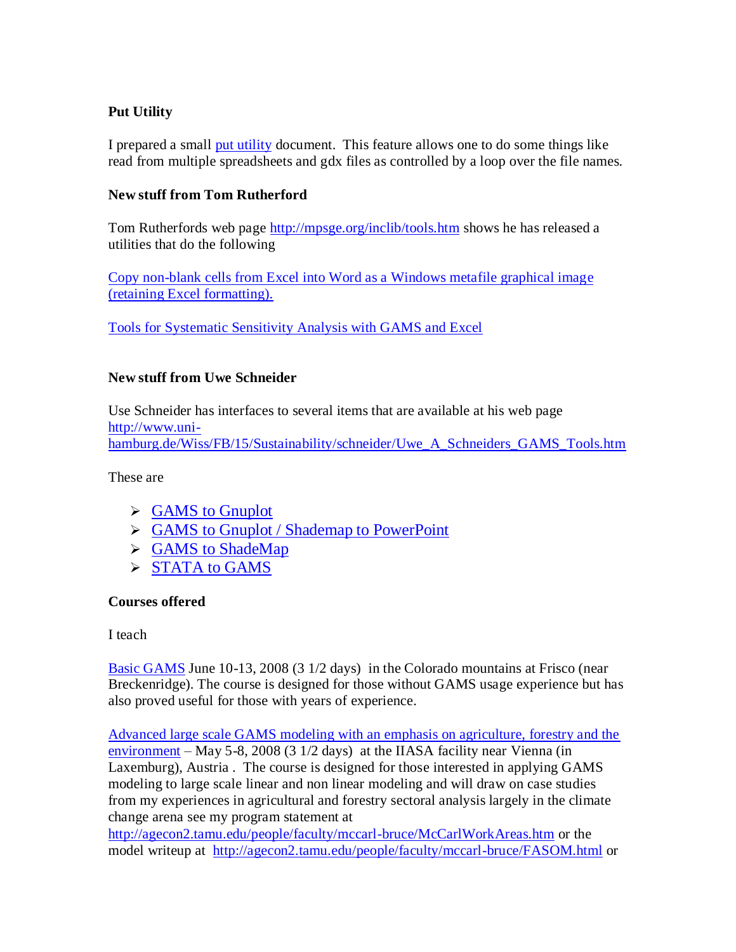## **Put Utility**

I prepared a small [put utility](http://www.gams.com/mccarl/pututility.pdf) document. This feature allows one to do some things like read from multiple spreadsheets and gdx files as controlled by a loop over the file names.

#### **New stuff from Tom Rutherford**

Tom Rutherfords web page <http://mpsge.org/inclib/tools.htm> shows he has released a utilities that do the following

[Copy non-blank cells from Excel into Word as a Windows metafile graphical image](http://mpsge.org/CopyTable.html)  [\(retaining Excel formatting\).](http://mpsge.org/CopyTable.html)

[Tools for Systematic Sensitivity Analysis with GAMS and Excel](http://mpsge.org/qtool/)

#### **New stuff from Uwe Schneider**

Use Schneider has interfaces to several items that are available at his web page [http://www.uni](http://www.uni-hamburg.de/Wiss/FB/15/Sustainability/schneider/Uwe_A_Schneiders_GAMS_Tools.htm)[hamburg.de/Wiss/FB/15/Sustainability/schneider/Uwe\\_A\\_Schneiders\\_GAMS\\_Tools.htm](http://www.uni-hamburg.de/Wiss/FB/15/Sustainability/schneider/Uwe_A_Schneiders_GAMS_Tools.htm)

These are

- $\triangleright$  GAMS to Gnuplot
- States Shademap to PowerPoint
- **► GAMS to ShadeMap**
- $\triangleright$  [STATA to GAMS](http://www.uni-hamburg.de/Wiss/FB/15/Sustainability/schneider/stata/stata_gams.htm)

#### **Courses offered**

I teach

[Basic GAMS](http://www.gams.com/mccarl/basic.htm) June 10-13, 2008 (3 1/2 days) in the Colorado mountains at Frisco (near Breckenridge). The course is designed for those without GAMS usage experience but has also proved useful for those with years of experience.

[Advanced large scale GAMS modeling with an emphasis on agriculture, forestry and the](http://www.gams.com/mccarl/iiasa.htm)  [environment](http://www.gams.com/mccarl/iiasa.htm) – May 5-8, 2008 (3 1/2 days) at the IIASA facility near Vienna (in Laxemburg), Austria . The course is designed for those interested in applying GAMS modeling to large scale linear and non linear modeling and will draw on case studies from my experiences in agricultural and forestry sectoral analysis largely in the climate change arena see my program statement at

<http://agecon2.tamu.edu/people/faculty/mccarl-bruce/McCarlWorkAreas.htm> or the model writeup at <http://agecon2.tamu.edu/people/faculty/mccarl-bruce/FASOM.html> or